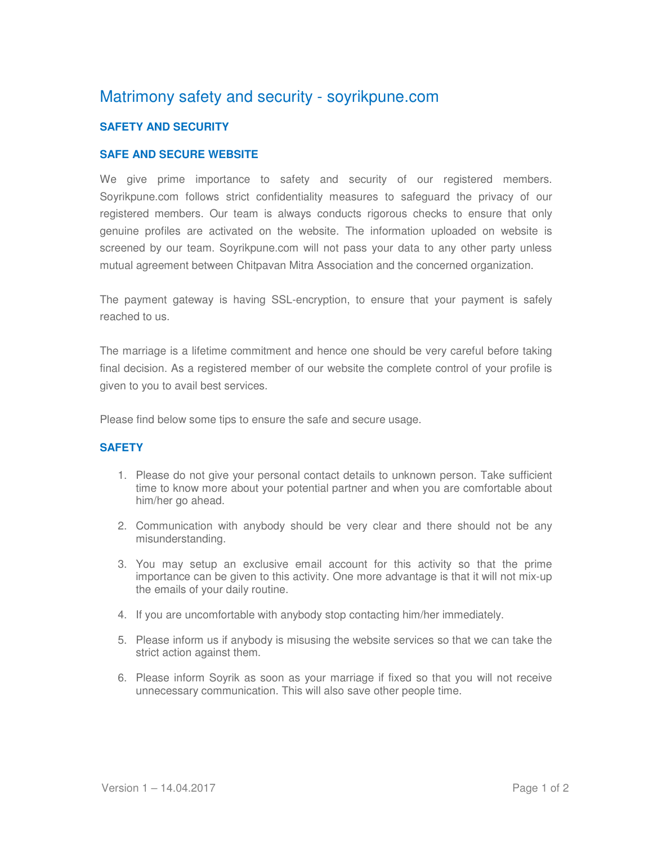# Matrimony safety and security - soyrikpune.com

### **SAFETY AND SECURITY**

#### **SAFE AND SECURE WEBSITE**

We give prime importance to safety and security of our registered members. Soyrikpune.com follows strict confidentiality measures to safeguard the privacy of our registered members. Our team is always conducts rigorous checks to ensure that only genuine profiles are activated on the website. The information uploaded on website is screened by our team. Soyrikpune.com will not pass your data to any other party unless mutual agreement between Chitpavan Mitra Association and the concerned organization.

The payment gateway is having SSL-encryption, to ensure that your payment is safely reached to us.

The marriage is a lifetime commitment and hence one should be very careful before taking final decision. As a registered member of our website the complete control of your profile is given to you to avail best services.

Please find below some tips to ensure the safe and secure usage.

## **SAFETY**

- 1. Please do not give your personal contact details to unknown person. Take sufficient time to know more about your potential partner and when you are comfortable about him/her go ahead.
- 2. Communication with anybody should be very clear and there should not be any misunderstanding.
- 3. You may setup an exclusive email account for this activity so that the prime importance can be given to this activity. One more advantage is that it will not mix-up the emails of your daily routine.
- 4. If you are uncomfortable with anybody stop contacting him/her immediately.
- 5. Please inform us if anybody is misusing the website services so that we can take the strict action against them.
- 6. Please inform Soyrik as soon as your marriage if fixed so that you will not receive unnecessary communication. This will also save other people time.